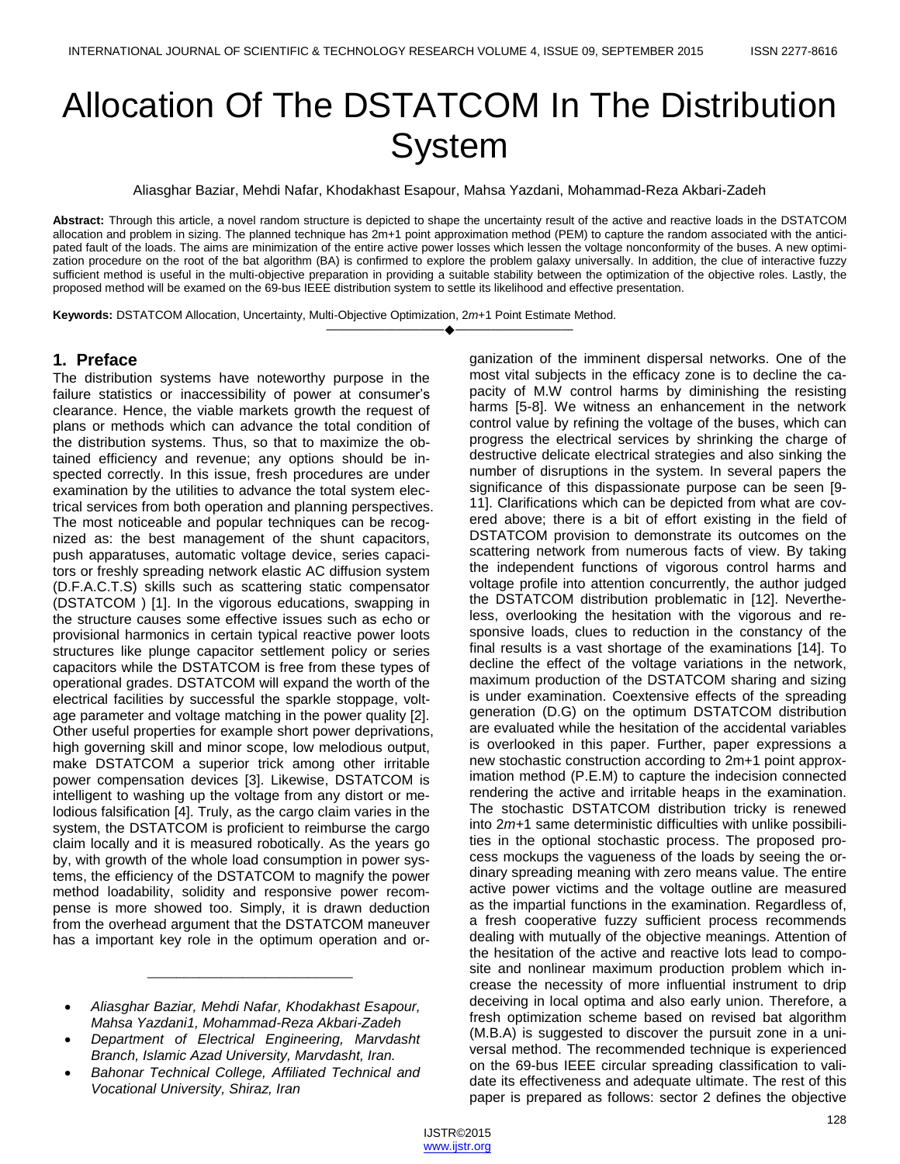# Allocation Of The DSTATCOM In The Distribution **System**

Aliasghar Baziar, Mehdi Nafar, Khodakhast Esapour, Mahsa Yazdani, Mohammad-Reza Akbari-Zadeh

**Abstract:** Through this article, a novel random structure is depicted to shape the uncertainty result of the active and reactive loads in the DSTATCOM allocation and problem in sizing. The planned technique has 2m+1 point approximation method (PEM) to capture the random associated with the anticipated fault of the loads. The aims are minimization of the entire active power losses which lessen the voltage nonconformity of the buses. A new optimization procedure on the root of the bat algorithm (BA) is confirmed to explore the problem galaxy universally. In addition, the clue of interactive fuzzy sufficient method is useful in the multi-objective preparation in providing a suitable stability between the optimization of the objective roles. Lastly, the proposed method will be examed on the 69-bus IEEE distribution system to settle its likelihood and effective presentation.

————————————————————

**Keywords:** DSTATCOM Allocation, Uncertainty, Multi-Objective Optimization, 2*m*+1 Point Estimate Method.

# **1. Preface**

The distribution systems have noteworthy purpose in the failure statistics or inaccessibility of power at consumer's clearance. Hence, the viable markets growth the request of plans or methods which can advance the total condition of the distribution systems. Thus, so that to maximize the obtained efficiency and revenue; any options should be inspected correctly. In this issue, fresh procedures are under examination by the utilities to advance the total system electrical services from both operation and planning perspectives. The most noticeable and popular techniques can be recognized as: the best management of the shunt capacitors, push apparatuses, automatic voltage device, series capacitors or freshly spreading network elastic AC diffusion system (D.F.A.C.T.S) skills such as scattering static compensator (DSTATCOM ) [1]. In the vigorous educations, swapping in the structure causes some effective issues such as echo or provisional harmonics in certain typical reactive power loots structures like plunge capacitor settlement policy or series capacitors while the DSTATCOM is free from these types of operational grades. DSTATCOM will expand the worth of the electrical facilities by successful the sparkle stoppage, voltage parameter and voltage matching in the power quality [2]. Other useful properties for example short power deprivations, high governing skill and minor scope, low melodious output, make DSTATCOM a superior trick among other irritable power compensation devices [3]. Likewise, DSTATCOM is intelligent to washing up the voltage from any distort or melodious falsification [4]. Truly, as the cargo claim varies in the system, the DSTATCOM is proficient to reimburse the cargo claim locally and it is measured robotically. As the years go by, with growth of the whole load consumption in power systems, the efficiency of the DSTATCOM to magnify the power method loadability, solidity and responsive power recompense is more showed too. Simply, it is drawn deduction from the overhead argument that the DSTATCOM maneuver has a important key role in the optimum operation and or-

 *Aliasghar Baziar, Mehdi Nafar, Khodakhast Esapour, Mahsa Yazdani1, Mohammad-Reza Akbari-Zadeh*

\_\_\_\_\_\_\_\_\_\_\_\_\_\_\_\_\_\_\_\_\_\_\_\_\_\_\_\_

- *Department of Electrical Engineering, Marvdasht Branch, Islamic Azad University, Marvdasht, Iran.*
- *Bahonar Technical College, Affiliated Technical and Vocational University, Shiraz, Iran*

ganization of the imminent dispersal networks. One of the most vital subjects in the efficacy zone is to decline the capacity of M.W control harms by diminishing the resisting harms [5-8]. We witness an enhancement in the network control value by refining the voltage of the buses, which can progress the electrical services by shrinking the charge of destructive delicate electrical strategies and also sinking the number of disruptions in the system. In several papers the significance of this dispassionate purpose can be seen [9- 11]. Clarifications which can be depicted from what are covered above; there is a bit of effort existing in the field of DSTATCOM provision to demonstrate its outcomes on the scattering network from numerous facts of view. By taking the independent functions of vigorous control harms and voltage profile into attention concurrently, the author judged the DSTATCOM distribution problematic in [12]. Nevertheless, overlooking the hesitation with the vigorous and responsive loads, clues to reduction in the constancy of the final results is a vast shortage of the examinations [14]. To decline the effect of the voltage variations in the network, maximum production of the DSTATCOM sharing and sizing is under examination. Coextensive effects of the spreading generation (D.G) on the optimum DSTATCOM distribution are evaluated while the hesitation of the accidental variables is overlooked in this paper. Further, paper expressions a new stochastic construction according to 2m+1 point approximation method (P.E.M) to capture the indecision connected rendering the active and irritable heaps in the examination. The stochastic DSTATCOM distribution tricky is renewed into 2*m+*1 same deterministic difficulties with unlike possibilities in the optional stochastic process. The proposed process mockups the vagueness of the loads by seeing the ordinary spreading meaning with zero means value. The entire active power victims and the voltage outline are measured as the impartial functions in the examination. Regardless of, a fresh cooperative fuzzy sufficient process recommends dealing with mutually of the objective meanings. Attention of the hesitation of the active and reactive lots lead to composite and nonlinear maximum production problem which increase the necessity of more influential instrument to drip deceiving in local optima and also early union. Therefore, a fresh optimization scheme based on revised bat algorithm (M.B.A) is suggested to discover the pursuit zone in a universal method. The recommended technique is experienced on the 69-bus IEEE circular spreading classification to validate its effectiveness and adequate ultimate. The rest of this paper is prepared as follows: sector 2 defines the objective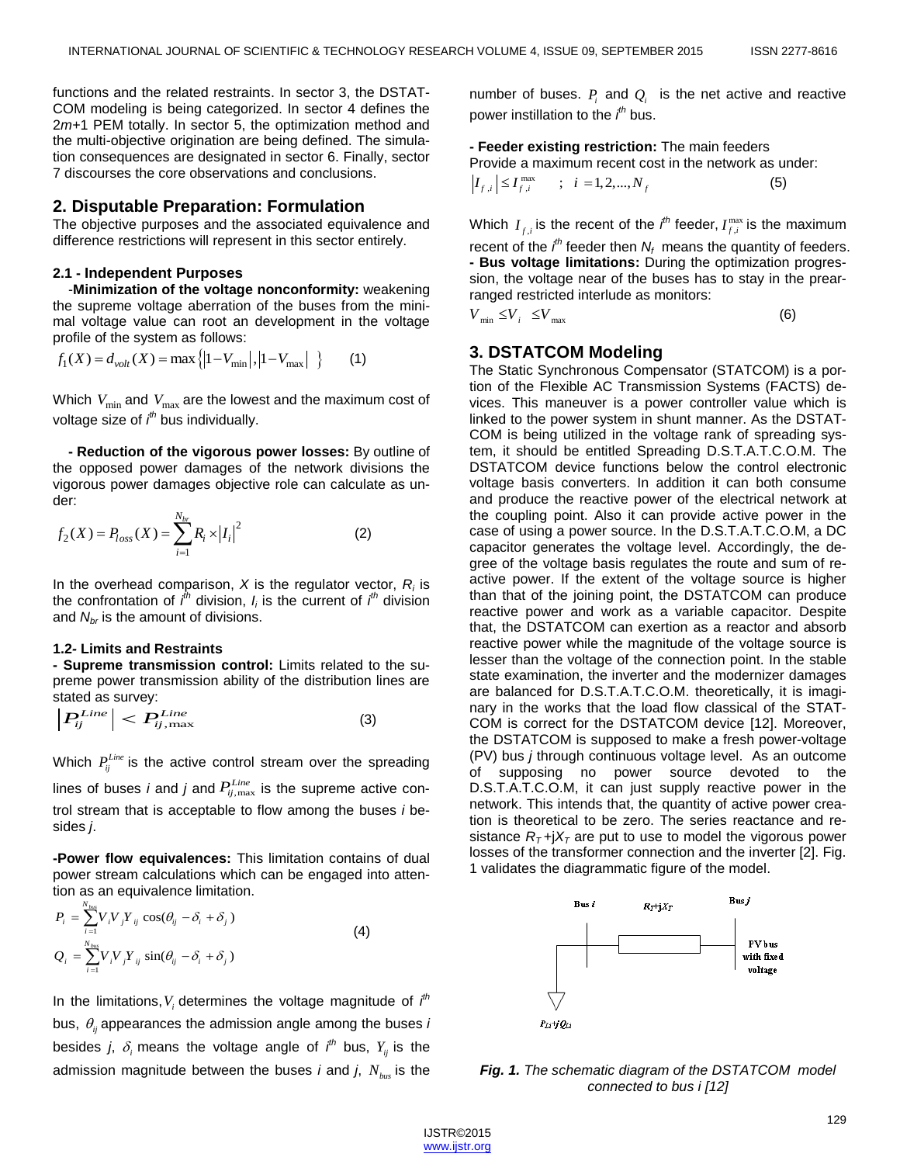functions and the related restraints. In sector 3, the DSTAT-COM modeling is being categorized. In sector 4 defines the 2*m+*1 PEM totally. In sector 5, the optimization method and the multi-objective origination are being defined. The simulation consequences are designated in sector 6. Finally, sector 7 discourses the core observations and conclusions.

## **2. Disputable Preparation: Formulation**

The objective purposes and the associated equivalence and difference restrictions will represent in this sector entirely.

## **2.1 - Independent Purposes**

-**Minimization of the voltage nonconformity:** weakening the supreme voltage aberration of the buses from the minimal voltage value can root an development in the voltage

profile of the system as follows:  

$$
f_1(X) = d_{volt}(X) = max({1 - V_{min}|, |1 - V_{max}| })
$$
 (1)

Which  $\,V_{\mathrm{min}}$  and  $\,V_{\mathrm{max}}$  are the lowest and the maximum cost of voltage size of *i th* bus individually.

**- Reduction of the vigorous power losses:** By outline of the opposed power damages of the network divisions the vigorous power damages objective role can calculate as under:

$$
f_2(X) = P_{loss}(X) = \sum_{i=1}^{N_{br}} R_i \times |I_i|^2
$$
 (2)

In the overhead comparison, *X* is the regulator vector, *R<sup>i</sup>* is the confrontation of *i th* division, *I<sup>i</sup>* is the current of *i th* division and *Nbr* is the amount of divisions.

#### **1.2***-* **Limits and Restraints**

**- Supreme transmission control:** Limits related to the supreme power transmission ability of the distribution lines are stated as survey:

$$
\left| P_{ij}^{Line} \right| < P_{ij,\text{max}}^{Line} \tag{3}
$$

Which  $P_{ij}^{Line}$  is the active control stream over the spreading

lines of buses *i* and *j* and  $P_{ij,\text{max}}^{Line}$  is the supreme active control stream that is acceptable to flow among the buses *i* besides *j*.

**-Power flow equivalences:** This limitation contains of dual power stream calculations which can be engaged into attention as an equivalence limitation.

$$
P_i = \sum_{i=1}^{N_{bus}} V_i V_j Y_{ij} \cos(\theta_{ij} - \delta_i + \delta_j)
$$
  
\n
$$
Q_i = \sum_{i=1}^{N_{bus}} V_i V_j Y_{ij} \sin(\theta_{ij} - \delta_i + \delta_j)
$$
\n(4)

In the limitations,  $V_i$  determines the voltage magnitude of  $i<sup>th</sup>$ bus,  $\theta_{ij}$  appearances the admission angle among the buses *i* besides *j*,  $\delta_i$  means the voltage angle of  $i<sup>th</sup>$  bus,  $Y_{ij}$  is the admission magnitude between the buses *i* and *j*, *Nbus* is the number of buses.  $P_i$  and  $Q_i$  is the net active and reactive power instillation to the *i th* bus.

**- Feeder existing restriction:** The main feeders Provide a maximum recent cost in the network as under:<br> $\left|I_{f,i}\right| \le I_{f,i}^{\max}$  ;  $i = 1, 2, ..., N_f$  (5)

$$
\left|I_{f,i}\right| \le I_{f,i}^{\max} \qquad ; \quad i = 1, 2, ..., N_f \tag{5}
$$

Which  $I_{f,i}$  is the recent of the *i*<sup>th</sup> feeder,  $I_{f,i}^{\max}$  is the maximum recent of the  $i<sup>th</sup>$  feeder then  $N_f$  means the quantity of feeders. **- Bus voltage limitations:** During the optimization progression, the voltage near of the buses has to stay in the prearranged restricted interlude as monitors:

 $V_{\min} \leq V_i \leq V_{\max}$ (6)

# **3. DSTATCOM Modeling**

The Static Synchronous Compensator (STATCOM) is a portion of the Flexible AC Transmission Systems (FACTS) devices. This maneuver is a power controller value which is linked to the power system in shunt manner. As the DSTAT-COM is being utilized in the voltage rank of spreading system, it should be entitled Spreading D.S.T.A.T.C.O.M. The DSTATCOM device functions below the control electronic voltage basis converters. In addition it can both consume and produce the reactive power of the electrical network at the coupling point. Also it can provide active power in the case of using a power source. In the D.S.T.A.T.C.O.M, a DC capacitor generates the voltage level. Accordingly, the degree of the voltage basis regulates the route and sum of reactive power. If the extent of the voltage source is higher than that of the joining point, the DSTATCOM can produce reactive power and work as a variable capacitor. Despite that, the DSTATCOM can exertion as a reactor and absorb reactive power while the magnitude of the voltage source is lesser than the voltage of the connection point. In the stable state examination, the inverter and the modernizer damages are balanced for D.S.T.A.T.C.O.M. theoretically, it is imaginary in the works that the load flow classical of the STAT-COM is correct for the DSTATCOM device [12]. Moreover, the DSTATCOM is supposed to make a fresh power-voltage (PV) bus *j* through continuous voltage level. As an outcome supposing no power source devoted to the D.S.T.A.T.C.O.M, it can just supply reactive power in the network. This intends that, the quantity of active power creation is theoretical to be zero. The series reactance and resistance  $R<sub>T</sub>$ +j $X<sub>T</sub>$  are put to use to model the vigorous power losses of the transformer connection and the inverter [2]. Fig. 1 validates the diagrammatic figure of the model.



*Fig. 1. The schematic diagram of the DSTATCOM model connected to bus i [12]*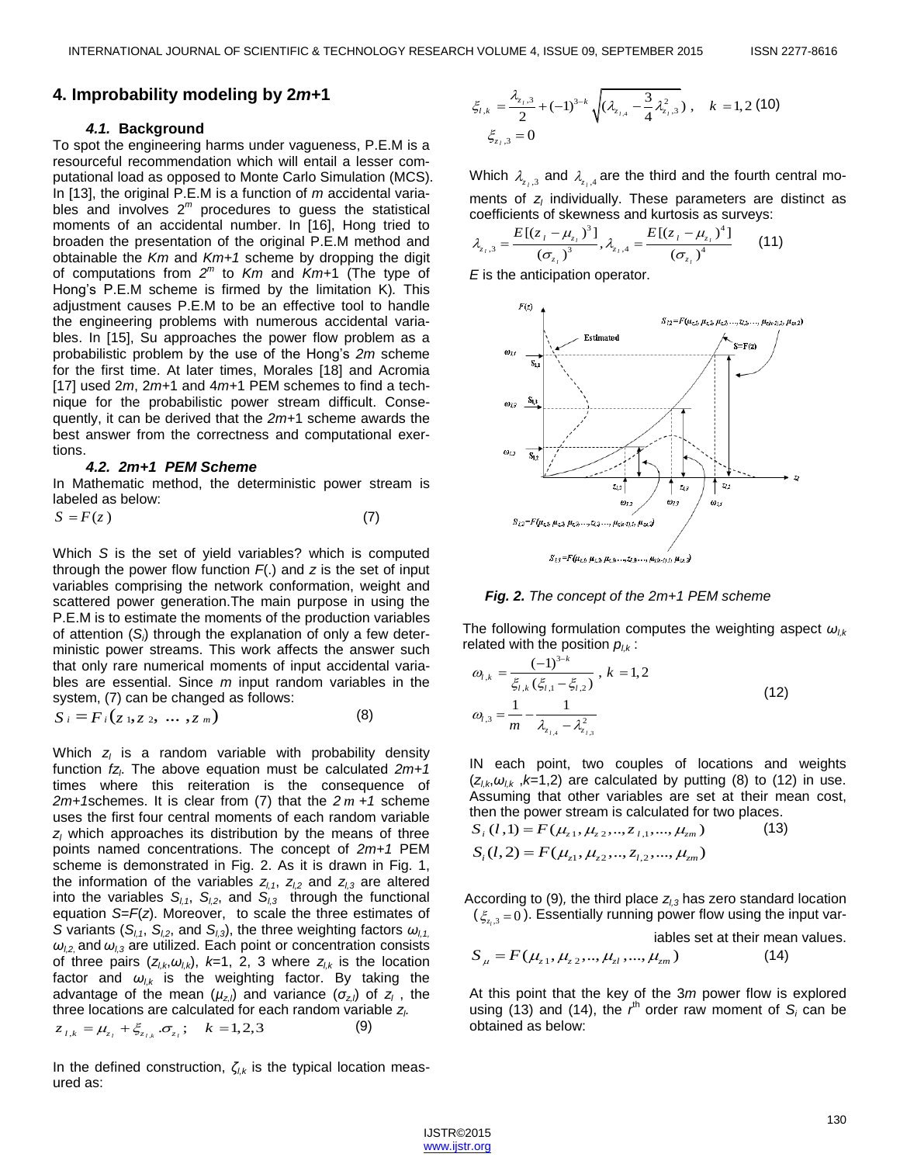## **4. Improbability modeling by 2***m***+1**

## *4.1.* **Background**

To spot the engineering harms under vagueness, P.E.M is a resourceful recommendation which will entail a lesser computational load as opposed to Monte Carlo Simulation (MCS). In [13], the original P.E.M is a function of *m* accidental variables and involves  $2^m$  procedures to guess the statistical moments of an accidental number. In [16], Hong tried to broaden the presentation of the original P.E.M method and obtainable the *Km* and *Km+1* scheme by dropping the digit of computations from *2 m* to *Km* and *Km+*1 (The type of Hong's P.E.M scheme is firmed by the limitation K)*.* This adjustment causes P.E.M to be an effective tool to handle the engineering problems with numerous accidental variables. In [15], Su approaches the power flow problem as a probabilistic problem by the use of the Hong's *2m* scheme for the first time. At later times, Morales [18] and Acromia [17] used 2*m*, 2*m+*1 and 4*m+*1 PEM schemes to find a technique for the probabilistic power stream difficult. Consequently, it can be derived that the *2m+*1 scheme awards the best answer from the correctness and computational exertions.

#### *4.2. 2m+1 PEM Scheme*

In Mathematic method, the deterministic power stream is labeled as below:

$$
S = F(z) \tag{7}
$$

Which *S* is the set of yield variables? which is computed through the power flow function *F*(.) and *z* is the set of input variables comprising the network conformation, weight and scattered power generation.The main purpose in using the P.E.M is to estimate the moments of the production variables of attention (*Si*) through the explanation of only a few deterministic power streams. This work affects the answer such that only rare numerical moments of input accidental variables are essential. Since *m* input random variables in the system, (7) can be changed as follows:<br> $S_i = F_i(z_1, z_2, ..., z_m)$ 

$$
S_i = F_i(z_1, z_2, \ldots, z_m) \tag{8}
$$

Which *z<sup>l</sup>* is a random variable with probability density function *fz<sup>l</sup>* . The above equation must be calculated *2m+1*  times where this reiteration is the consequence of *2m+1*schemes. It is clear from (7) that the *2 m +1* scheme uses the first four central moments of each random variable *z<sup>l</sup>* which approaches its distribution by the means of three points named concentrations. The concept of *2m+1* PEM scheme is demonstrated in Fig. 2. As it is drawn in Fig. 1, the information of the variables  $z_{l,1}$ ,  $z_{l,2}$  and  $z_{l,3}$  are altered into the variables  $S_{l,1}$ ,  $S_{l,2}$ , and  $S_{l,3}$  through the functional equation *S*=*F*(*z*). Moreover, to scale the three estimates of *S* variants ( $S_{l,1}$ ,  $S_{l,2}$ , and  $S_{l,3}$ ), the three weighting factors  $\omega_{l,1}$ *ωl,2,* and *ωl,3* are utilized. Each point or concentration consists of three pairs  $(z_{l,k}, \omega_{l,k})$ ,  $k=1, 2, 3$  where  $z_{l,k}$  is the location factor and *ωl,k* is the weighting factor. By taking the advantage of the mean (*µz,l*) and variance (*σz,l*) of *z<sup>l</sup>* , the three locations are calculated for each random variable *z*<sub>*l*</sub>  $z_{i,k} = \mu_{z_i} + \xi_{z_{i,k}} \cdot \sigma_{z_i}$ ;  $k = 1,2,3$  (9)

$$
z_{i,k} = \mu_{z_i} + \xi_{z_{i,k}} \sigma_{z_i}; \quad k = 1, 2, 3
$$

In the defined construction, *ζl,k* is the typical location measured as:

$$
\xi_{l,k} = \frac{\lambda_{z_l,3}}{2} + (-1)^{3-k} \sqrt{(\lambda_{z_{l,4}} - \frac{3}{4} \lambda_{z_l,3}^2}), \quad k = 1,2 \text{ (10)}
$$
  

$$
\xi_{z_l,3} = 0
$$

Which  $\lambda_{z_i,3}$  and  $\lambda_{z_i,4}$  are the third and the fourth central moments of *z<sup>l</sup>* individually. These parameters are distinct as

coefficients of skewness and kurtosis as surveys:  
\n
$$
\lambda_{z_1,3} = \frac{E[(z_1 - \mu_{z_1})^3]}{(\sigma_{z_1})^3}, \lambda_{z_1,4} = \frac{E[(z_1 - \mu_{z_1})^4]}{(\sigma_{z_1})^4}
$$
\n(11)

*E* is the anticipation operator.



*Fig. 2. The concept of the 2m+1 PEM scheme*

The following formulation computes the weighting aspect *ωl,k*

related with the position 
$$
p_{l,k}
$$
:  
\n
$$
\omega_{l,k} = \frac{(-1)^{3-k}}{\xi_{l,k} (\xi_{l,1} - \xi_{l,2})}, k = 1, 2
$$
\n
$$
\omega_{l,3} = \frac{1}{m} - \frac{1}{\lambda_{z_{l,4}} - \lambda_{z_{l,3}}^2}
$$
\n(12)

IN each point, two couples of locations and weights  $(z_{l,k}, \omega_{l,k}, k=1,2)$  are calculated by putting (8) to (12) in use. Assuming that other variables are set at their mean cost,

then the power stream is calculated for two places.  
\n
$$
S_i(l,1) = F(\mu_{z1}, \mu_{z2}, ..., z_{l,1}, ..., \mu_{zm})
$$
\n(13)  
\n
$$
S_i(l,2) = F(\mu_{z1}, \mu_{z2}, ..., z_{l,2}, ..., \mu_{zm})
$$

According to (9), the third place  $z_{1,3}$  has zero standard location  $(\zeta_{z_i,3}=0)$ . Essentially running power flow using the input var*l*

iables set at their mean values.

\n Tables set at their mean val\n

\n\n
$$
S_{\mu} = F(\mu_{z1}, \mu_{z2}, \ldots, \mu_{zl}, \ldots, \mu_{zm})
$$
\n

\n\n (14)\n

At this point that the key of the 3*m* power flow is explored using (13) and (14), the  $r<sup>th</sup>$  order raw moment of  $S<sub>i</sub>$  can be obtained as below: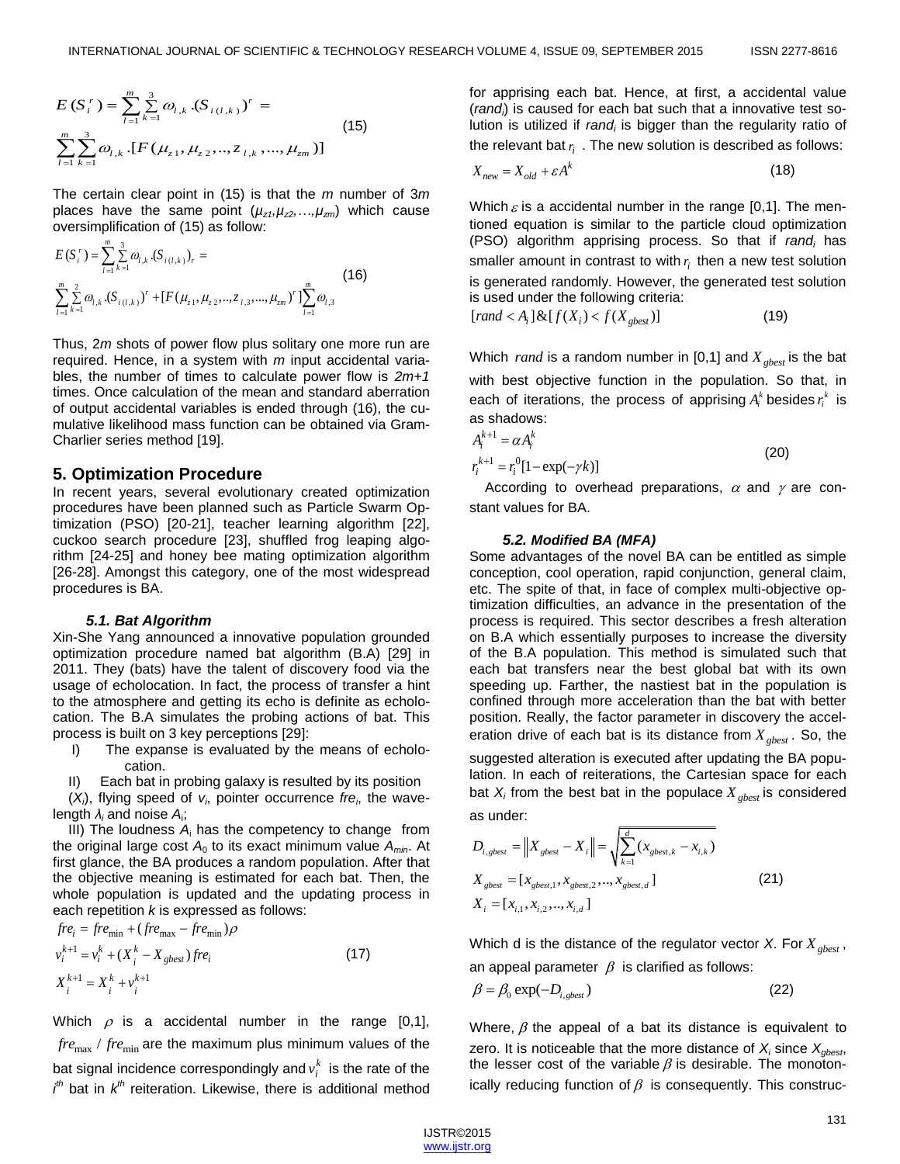$$
E(S_i^r) = \sum_{l=1}^m \sum_{k=1}^3 \omega_{l,k} \cdot (S_{i(l,k)})^r =
$$
  

$$
\sum_{l=1}^m \sum_{k=1}^3 \omega_{l,k} \cdot [F(\mu_{z1}, \mu_{z2}, ..., z_{l,k}, ..., \mu_{zm})]
$$
 (15)

The certain clear point in (15) is that the *m* number of 3*m* places have the same point  $(\mu_{z1}, \mu_{z2}, \ldots, \mu_{zm})$  which cause

oversimpilification of (15) as follow:  
\n
$$
E(S_i^r) = \sum_{l=1}^m \sum_{k=1}^3 \omega_{l,k} \cdot (S_{i(l,k)})_r =
$$
\n
$$
\sum_{l=1}^m \sum_{k=1}^2 \omega_{l,k} \cdot (S_{i(l,k)})^r + [F(\mu_{z1}, \mu_{z2}, ..., z_{l,3}, ..., \mu_{zm})^r] \sum_{l=1}^m \omega_{l,3}
$$
\n(16)

Thus, 2*m* shots of power flow plus solitary one more run are required. Hence, in a system with *m* input accidental variables, the number of times to calculate power flow is *2m+1*  times. Once calculation of the mean and standard aberration of output accidental variables is ended through (16), the cumulative likelihood mass function can be obtained via Gram-Charlier series method [19].

#### **5. Optimization Procedure**

In recent years, several evolutionary created optimization procedures have been planned such as Particle Swarm Optimization (PSO) [20-21], teacher learning algorithm [22], cuckoo search procedure [23], shuffled frog leaping algorithm [24-25] and honey bee mating optimization algorithm [26-28]. Amongst this category, one of the most widespread procedures is BA.

#### *5.1. Bat Algorithm*

Xin-She Yang announced a innovative population grounded optimization procedure named bat algorithm (B.A) [29] in 2011. They (bats) have the talent of discovery food via the usage of echolocation. In fact, the process of transfer a hint to the atmosphere and getting its echo is definite as echolocation. The B.A simulates the probing actions of bat. This process is built on 3 key perceptions [29]:

- I) The expanse is evaluated by the means of echolocation.
- Each bat in probing galaxy is resulted by its position

 $(X_i)$ , flying speed of  $V_i$ , pointer occurrence *fre<sub>i</sub>*, the wavelength *λ<sup>i</sup>* and noise *A*<sup>i</sup> ;

III) The loudness *A*<sup>i</sup> has the competency to change from the original large cost  $A_0$  to its exact minimum value  $A_{min}$ . At first glance, the BA produces a random population. After that the objective meaning is estimated for each bat. Then, the whole population is updated and the updating process in

each repetition *k* is expressed as follows:  
\n
$$
fre_i = fre_{min} + (fre_{max} - fre_{min})\rho
$$
\n
$$
v_i^{k+1} = v_i^k + (X_i^k - X_{gbest})fre_i
$$
\n
$$
X_i^{k+1} = X_i^k + v_i^{k+1}
$$
\n(17)

Which  $\rho$  is a accidental number in the range [0,1],  $\mathit{fre}_\text{max}$  /  $\mathit{fre}_\text{min}$  are the maximum plus minimum values of the bat signal incidence correspondingly and  $v_i^k$  is the rate of the  $i<sup>th</sup>$  bat in  $k<sup>th</sup>$  reiteration. Likewise, there is additional method

for apprising each bat. Hence, at first, a accidental value (*randi*) is caused for each bat such that a innovative test solution is utilized if *rand<sub>i</sub>* is bigger than the regularity ratio of the relevant bat  $r_i$ . The new solution is described as follows:

$$
X_{new} = X_{old} + \varepsilon A^k \tag{18}
$$

Which  $\varepsilon$  is a accidental number in the range [0,1]. The mentioned equation is similar to the particle cloud optimization (PSO) algorithm apprising process. So that if *rand<sup>i</sup>* has smaller amount in contrast to with  $r_i$  then a new test solution is generated randomly. However, the generated test solution

is used under the following criteria:  
\n
$$
[rand < A_i] \& [f(X_i) < f(X_{gbest})]
$$
 (19)

Which *rand* is a random number in [0,1] and  $X_{gbest}$  is the bat with best objective function in the population. So that, in each of iterations, the process of apprising  $A_i^k$  besides  $r_i^k$  is as shadows:

$$
A_i^{k+1} = \alpha A_i^k
$$
  
\n
$$
r_i^{k+1} = r_i^0 [1 - \exp(-\gamma k)]
$$
\n(20)

According to overhead preparations,  $\alpha$  and  $\gamma$  are constant values for BA.

#### *5.2. Modified BA (MFA)*

Some advantages of the novel BA can be entitled as simple conception, cool operation, rapid conjunction, general claim, etc. The spite of that, in face of complex multi-objective optimization difficulties, an advance in the presentation of the process is required. This sector describes a fresh alteration on B.A which essentially purposes to increase the diversity of the B.A population. This method is simulated such that each bat transfers near the best global bat with its own speeding up. Farther, the nastiest bat in the population is confined through more acceleration than the bat with better position. Really, the factor parameter in discovery the acceleration drive of each bat is its distance from *Xgbest* . So, the

suggested alteration is executed after updating the BA population. In each of reiterations, the Cartesian space for each bat *X<sup>i</sup>* from the best bat in the populace *Xgbest* is considered as under:

$$
D_{i,gbest} = \|X_{gbest} - X_i\| = \sqrt{\sum_{k=1}^{d} (x_{gbest,k} - x_{i,k})}
$$
  

$$
X_{gbest} = [x_{gbest,1}, x_{gbest,2}, ..., x_{gbest,d}]
$$
 (21)

Which d is the distance of the regulator vector *X*. For *Xgbest* , an appeal parameter  $\beta$  is clarified as follows:

$$
\beta = \beta_0 \exp(-D_{i,gbest})
$$
 (22)

Where,  $\beta$  the appeal of a bat its distance is equivalent to zero. It is noticeable that the more distance of  $X_i$  since  $X_{\text{ghost}}$ , the lesser cost of the variable  $\beta$  is desirable. The monotonically reducing function of  $\beta$  is consequently. This construc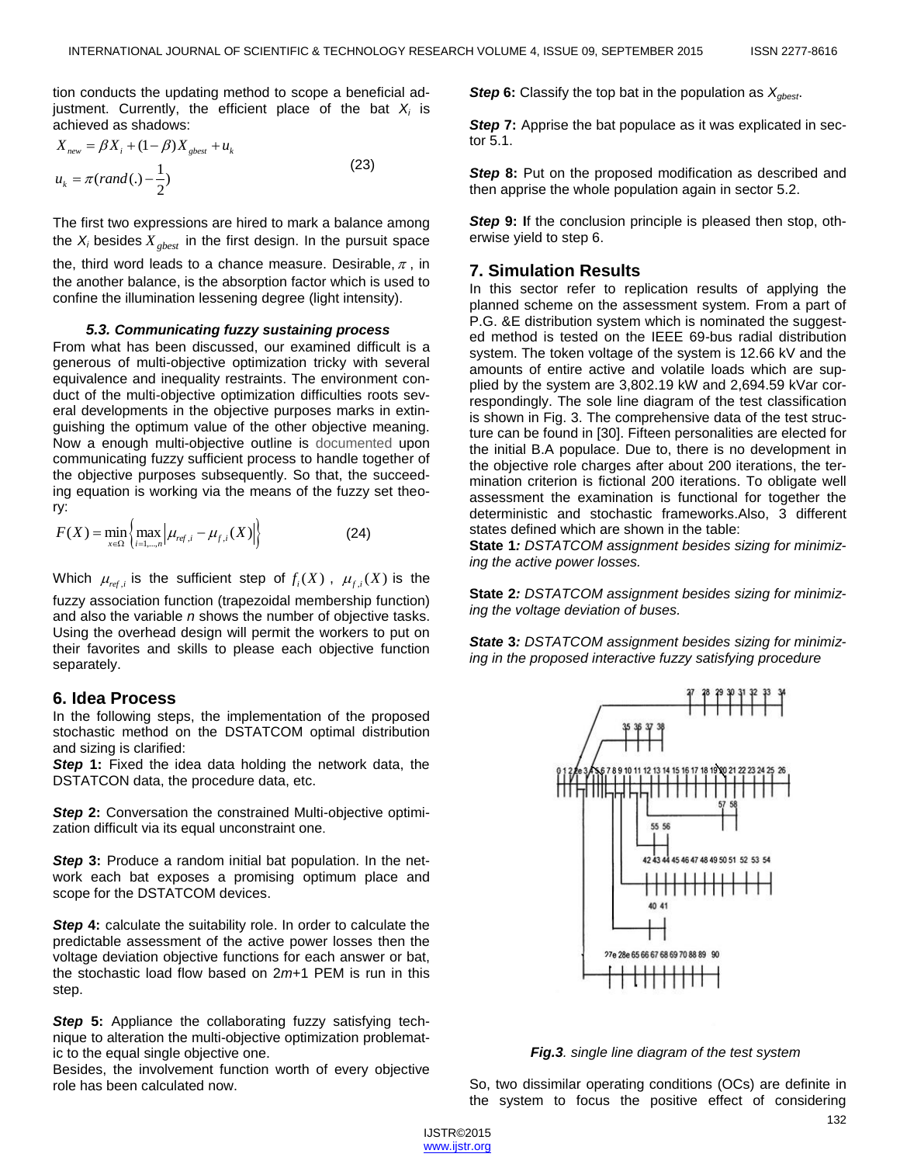tion conducts the updating method to scope a beneficial adjustment. Currently, the efficient place of the bat *X<sup>i</sup>* is achieved as shadows:

$$
X_{new} = \beta X_i + (1 - \beta) X_{gbest} + u_k
$$
  
\n
$$
u_k = \pi (rand(.) - \frac{1}{2})
$$
\n(23)

The first two expressions are hired to mark a balance among the *X<sub>i</sub>* besides  $X_{gbest}$  in the first design. In the pursuit space the, third word leads to a chance measure. Desirable,  $\pi$  , in the another balance, is the absorption factor which is used to confine the illumination lessening degree (light intensity).

#### *5.3. Communicating fuzzy sustaining process*

From what has been discussed, our examined difficult is a generous of multi-objective optimization tricky with several equivalence and inequality restraints. The environment conduct of the multi-objective optimization difficulties roots several developments in the objective purposes marks in extinguishing the optimum value of the other objective meaning. Now a enough multi-objective outline is documented upon communicating fuzzy sufficient process to handle together of the objective purposes subsequently. So that, the succeeding equation is working via the means of the fuzzy set theory:

$$
F(X) = \min_{x \in \Omega} \left\{ \max_{i=1,\dots,n} \left| \mu_{ref,i} - \mu_{f,i}(X) \right| \right\}
$$
 (24)

Which  $\mu_{ref,i}$  is the sufficient step of  $f_i(X)$ ,  $\mu_{f,i}(X)$  is the fuzzy association function (trapezoidal membership function) and also the variable *n* shows the number of objective tasks. Using the overhead design will permit the workers to put on their favorites and skills to please each objective function separately.

#### **6. Idea Process**

In the following steps, the implementation of the proposed stochastic method on the DSTATCOM optimal distribution and sizing is clarified:

*Step* **1:** Fixed the idea data holding the network data, the DSTATCON data, the procedure data, etc.

**Step 2:** Conversation the constrained Multi-objective optimization difficult via its equal unconstraint one.

**Step 3:** Produce a random initial bat population. In the network each bat exposes a promising optimum place and scope for the DSTATCOM devices.

**Step 4:** calculate the suitability role. In order to calculate the predictable assessment of the active power losses then the voltage deviation objective functions for each answer or bat, the stochastic load flow based on 2*m*+1 PEM is run in this step.

*Step* **5:** Appliance the collaborating fuzzy satisfying technique to alteration the multi-objective optimization problematic to the equal single objective one.

Besides, the involvement function worth of every objective role has been calculated now.

*Step* **6:** Classify the top bat in the population as *Xgbest*.

**Step 7:** Apprise the bat populace as it was explicated in sector 5.1.

**Step 8:** Put on the proposed modification as described and then apprise the whole population again in sector 5.2.

*Step* **9: I**f the conclusion principle is pleased then stop, otherwise yield to step 6.

## **7. Simulation Results**

In this sector refer to replication results of applying the planned scheme on the assessment system. From a part of P.G. &E distribution system which is nominated the suggested method is tested on the IEEE 69-bus radial distribution system. The token voltage of the system is 12.66 kV and the amounts of entire active and volatile loads which are supplied by the system are 3,802.19 kW and 2,694.59 kVar correspondingly. The sole line diagram of the test classification is shown in Fig. 3. The comprehensive data of the test structure can be found in [30]. Fifteen personalities are elected for the initial B.A populace. Due to, there is no development in the objective role charges after about 200 iterations, the termination criterion is fictional 200 iterations. To obligate well assessment the examination is functional for together the deterministic and stochastic frameworks.Also, 3 different states defined which are shown in the table:

**State 1***: DSTATCOM assignment besides sizing for minimizing the active power losses.*

**State 2***: DSTATCOM assignment besides sizing for minimizing the voltage deviation of buses.*

*State* **3***: DSTATCOM assignment besides sizing for minimizing in the proposed interactive fuzzy satisfying procedure*



*Fig.3. single line diagram of the test system*

So, two dissimilar operating conditions (OCs) are definite in the system to focus the positive effect of considering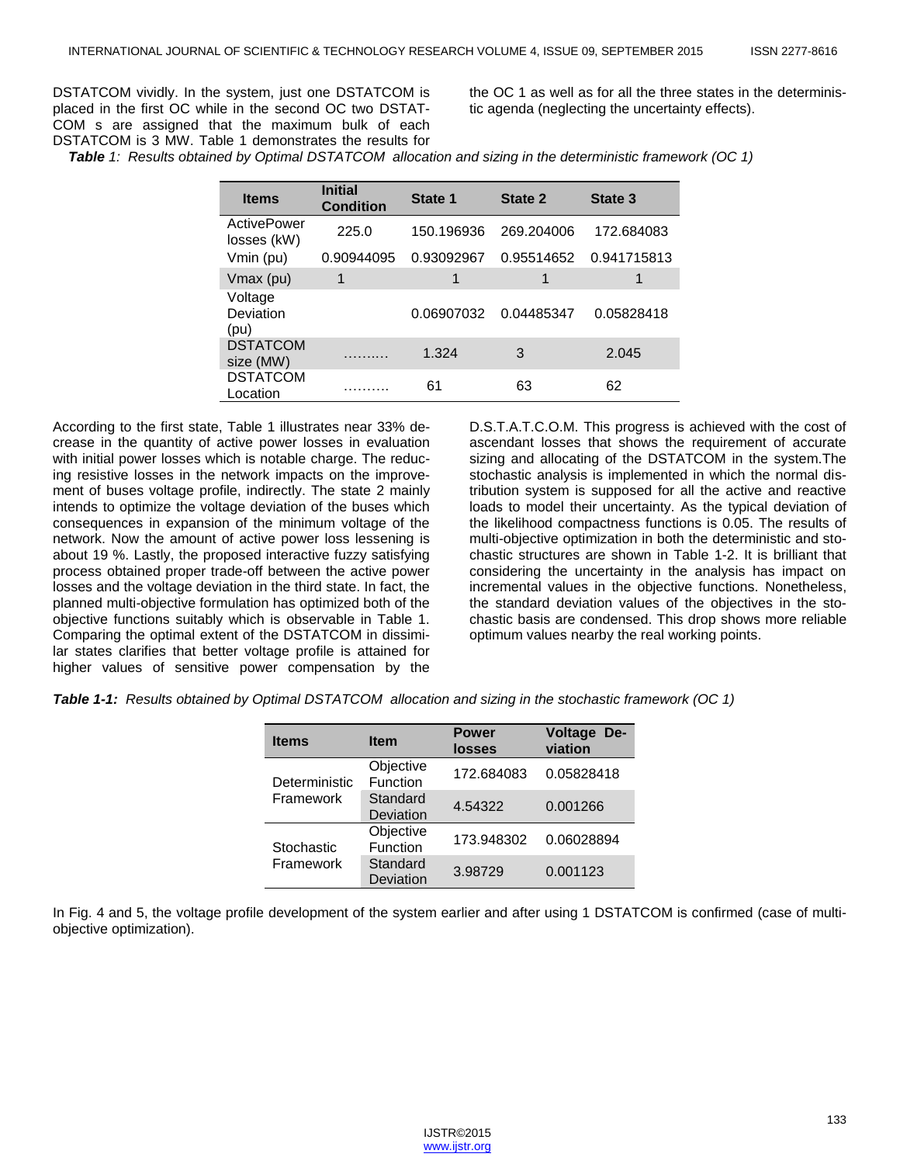DSTATCOM vividly. In the system, just one DSTATCOM is placed in the first OC while in the second OC two DSTAT-COM s are assigned that the maximum bulk of each DSTATCOM is 3 MW. Table 1 demonstrates the results for the OC 1 as well as for all the three states in the deterministic agenda (neglecting the uncertainty effects).

*Table 1: Results obtained by Optimal DSTATCOM allocation and sizing in the deterministic framework (OC 1)*

| <b>Items</b>                 | <b>Initial</b><br><b>Condition</b> | State 1    | State 2    | State 3     |
|------------------------------|------------------------------------|------------|------------|-------------|
| ActivePower<br>losses (kW)   | 225.0                              | 150.196936 | 269.204006 | 172.684083  |
| Vmin (pu)                    | 0.90944095                         | 0.93092967 | 0.95514652 | 0.941715813 |
| Vmax (pu)                    | 1                                  | 1          | 1          | 1           |
| Voltage<br>Deviation<br>(pu) |                                    | 0.06907032 | 0.04485347 | 0.05828418  |
| <b>DSTATCOM</b><br>size (MW) |                                    | 1.324      | 3          | 2.045       |
| <b>DSTATCOM</b><br>Location  |                                    | 61         | 63         | 62          |

According to the first state, Table 1 illustrates near 33% decrease in the quantity of active power losses in evaluation with initial power losses which is notable charge. The reducing resistive losses in the network impacts on the improvement of buses voltage profile, indirectly. The state 2 mainly intends to optimize the voltage deviation of the buses which consequences in expansion of the minimum voltage of the network. Now the amount of active power loss lessening is about 19 %. Lastly, the proposed interactive fuzzy satisfying process obtained proper trade-off between the active power losses and the voltage deviation in the third state. In fact, the planned multi-objective formulation has optimized both of the objective functions suitably which is observable in Table 1. Comparing the optimal extent of the DSTATCOM in dissimilar states clarifies that better voltage profile is attained for higher values of sensitive power compensation by the D.S.T.A.T.C.O.M. This progress is achieved with the cost of ascendant losses that shows the requirement of accurate sizing and allocating of the DSTATCOM in the system.The stochastic analysis is implemented in which the normal distribution system is supposed for all the active and reactive loads to model their uncertainty. As the typical deviation of the likelihood compactness functions is 0.05. The results of multi-objective optimization in both the deterministic and stochastic structures are shown in Table 1-2. It is brilliant that considering the uncertainty in the analysis has impact on incremental values in the objective functions. Nonetheless, the standard deviation values of the objectives in the stochastic basis are condensed. This drop shows more reliable optimum values nearby the real working points.

*Table 1-1: Results obtained by Optimal DSTATCOM allocation and sizing in the stochastic framework (OC 1)*

| <b>Items</b>               | <b>Item</b>           | <b>Power</b><br><b>losses</b> | <b>Voltage</b><br>De-<br>viation |  |
|----------------------------|-----------------------|-------------------------------|----------------------------------|--|
| Deterministic<br>Framework | Objective<br>Function | 172.684083                    | 0.05828418                       |  |
|                            | Standard<br>Deviation | 4.54322                       | 0.001266                         |  |
| Stochastic<br>Framework    | Objective<br>Function | 173.948302                    | 0.06028894                       |  |
|                            | Standard<br>Deviation | 3.98729                       | 0.001123                         |  |

In Fig. 4 and 5, the voltage profile development of the system earlier and after using 1 DSTATCOM is confirmed (case of multiobjective optimization).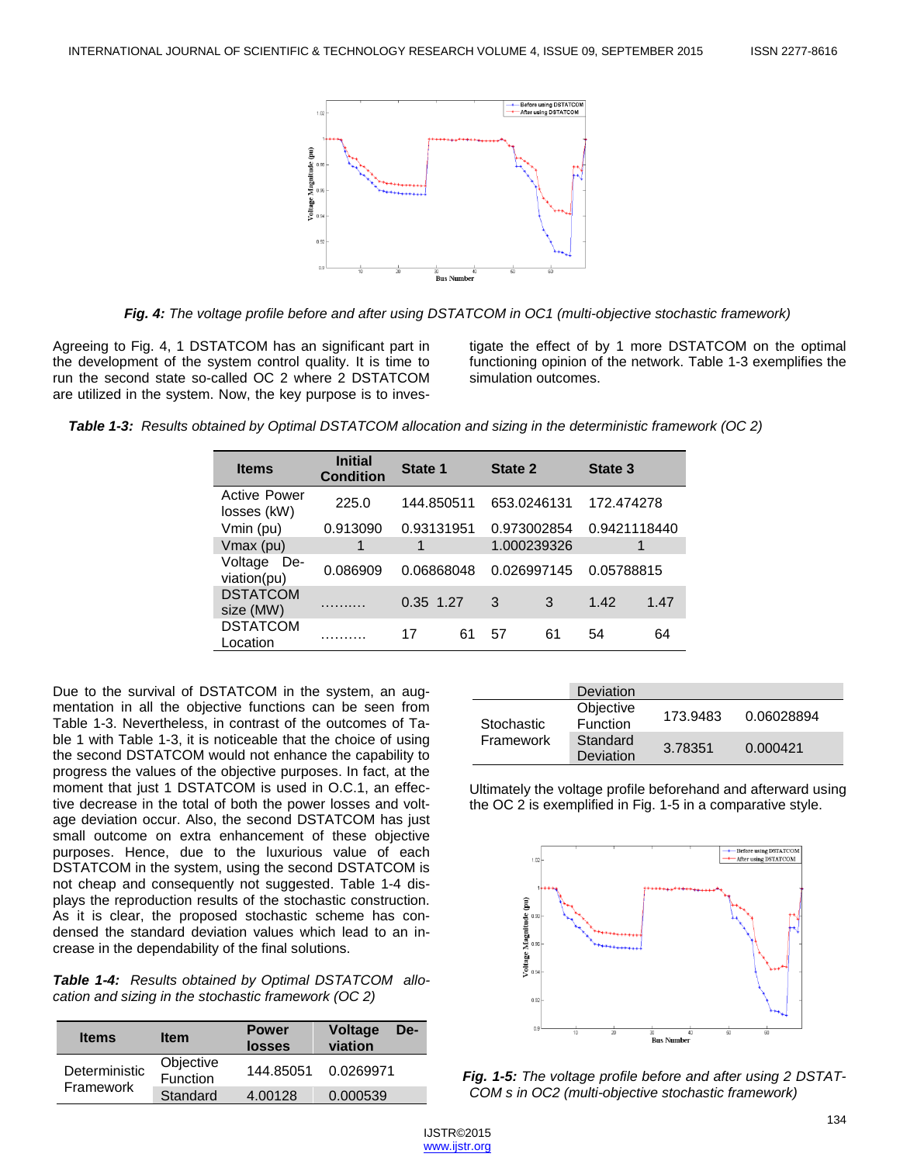

*Fig. 4: The voltage profile before and after using DSTATCOM in OC1 (multi-objective stochastic framework)*

Agreeing to Fig. 4, 1 DSTATCOM has an significant part in the development of the system control quality. It is time to run the second state so-called OC 2 where 2 DSTATCOM are utilized in the system. Now, the key purpose is to investigate the effect of by 1 more DSTATCOM on the optimal functioning opinion of the network. Table 1-3 exemplifies the simulation outcomes.

|  |  |  |  | Table 1-3: Results obtained by Optimal DSTATCOM allocation and sizing in the deterministic framework (OC 2) |  |
|--|--|--|--|-------------------------------------------------------------------------------------------------------------|--|
|--|--|--|--|-------------------------------------------------------------------------------------------------------------|--|

| <b>Items</b>                       | <b>Initial</b><br><b>Condition</b> | State 1    |    | <b>State 2</b> |    | State 3      |      |
|------------------------------------|------------------------------------|------------|----|----------------|----|--------------|------|
| <b>Active Power</b><br>losses (kW) | 225.0                              | 144.850511 |    | 653.0246131    |    | 172.474278   |      |
| Vmin (pu)                          | 0.913090                           | 0.93131951 |    | 0.973002854    |    | 0.9421118440 |      |
| Vmax (pu)                          |                                    |            |    | 1.000239326    |    |              |      |
| Voltage<br>De-<br>viation(pu)      | 0.086909                           | 0.06868048 |    | 0.026997145    |    | 0.05788815   |      |
| <b>DSTATCOM</b><br>size (MW)       | .                                  | 0.35 1.27  |    | 3              | 3  | 1.42         | 1.47 |
| <b>DSTATCOM</b><br>Location        |                                    | 17         | 61 | 57             | 61 | 54           | 64   |

Due to the survival of DSTATCOM in the system, an augmentation in all the objective functions can be seen from Table 1-3. Nevertheless, in contrast of the outcomes of Table 1 with Table 1-3, it is noticeable that the choice of using the second DSTATCOM would not enhance the capability to progress the values of the objective purposes. In fact, at the moment that just 1 DSTATCOM is used in O.C.1, an effective decrease in the total of both the power losses and voltage deviation occur. Also, the second DSTATCOM has just small outcome on extra enhancement of these objective purposes. Hence, due to the luxurious value of each DSTATCOM in the system, using the second DSTATCOM is not cheap and consequently not suggested. Table 1-4 displays the reproduction results of the stochastic construction. As it is clear, the proposed stochastic scheme has condensed the standard deviation values which lead to an increase in the dependability of the final solutions.

*Table 1-4: Results obtained by Optimal DSTATCOM allocation and sizing in the stochastic framework (OC 2)*

| <b>Items</b>               | <b>Item</b>           | <b>Power</b><br>losses | <b>Voltage</b><br>De-<br>viation |
|----------------------------|-----------------------|------------------------|----------------------------------|
| Deterministic<br>Framework | Objective<br>Function | 144.85051              | 0.0269971                        |
|                            | Standard              | 4.00128                | 0.000539                         |

|                                | Deviation                    |          |            |
|--------------------------------|------------------------------|----------|------------|
| Stochastic<br><b>Framework</b> | Objective<br><b>Function</b> | 173.9483 | 0.06028894 |
|                                | Standard<br>Deviation        | 3.78351  | 0.000421   |

Ultimately the voltage profile beforehand and afterward using the OC 2 is exemplified in Fig. 1-5 in a comparative style.



*Fig. 1-5: The voltage profile before and after using 2 DSTAT-COM s in OC2 (multi-objective stochastic framework)*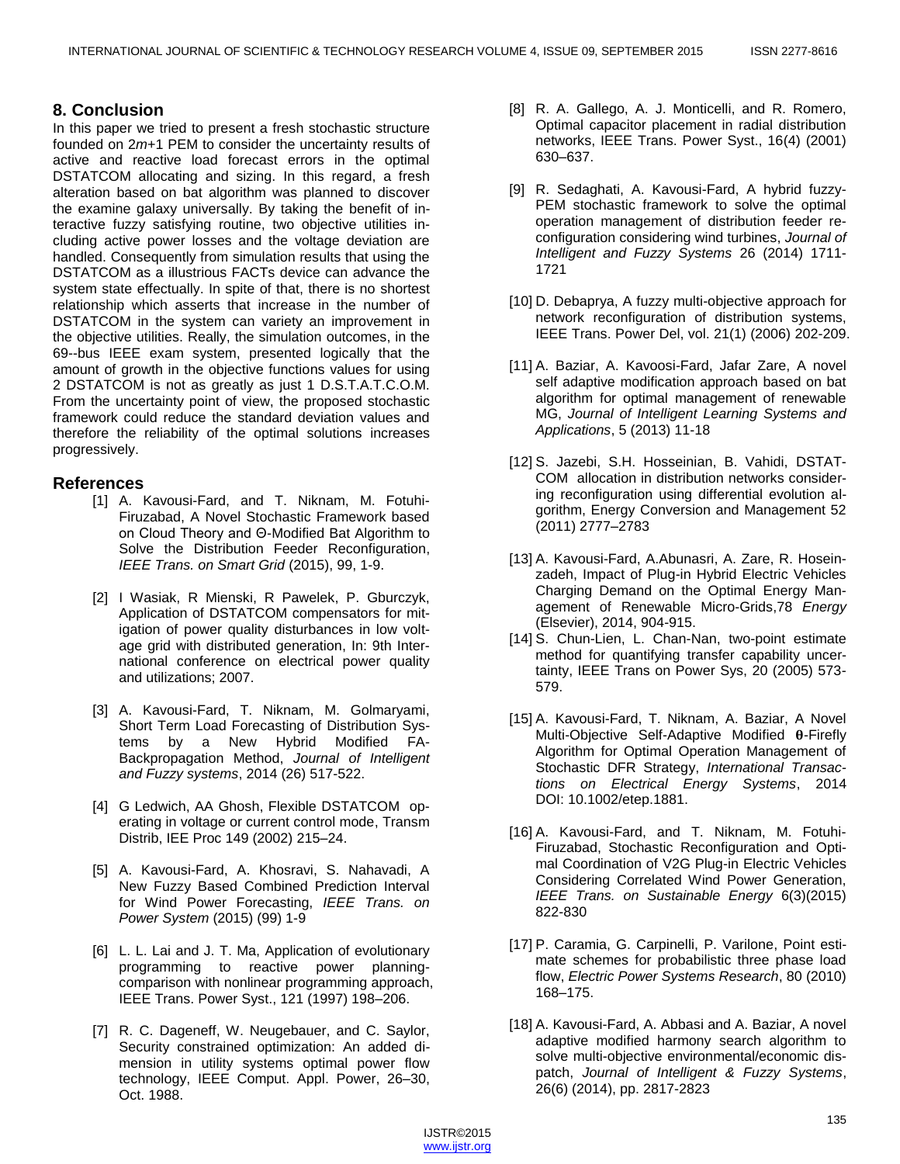# **8. Conclusion**

In this paper we tried to present a fresh stochastic structure founded on 2*m*+1 PEM to consider the uncertainty results of active and reactive load forecast errors in the optimal DSTATCOM allocating and sizing. In this regard, a fresh alteration based on bat algorithm was planned to discover the examine galaxy universally. By taking the benefit of interactive fuzzy satisfying routine, two objective utilities including active power losses and the voltage deviation are handled. Consequently from simulation results that using the DSTATCOM as a illustrious FACTs device can advance the system state effectually. In spite of that, there is no shortest relationship which asserts that increase in the number of DSTATCOM in the system can variety an improvement in the objective utilities. Really, the simulation outcomes, in the 69--bus IEEE exam system, presented logically that the amount of growth in the objective functions values for using 2 DSTATCOM is not as greatly as just 1 D.S.T.A.T.C.O.M. From the uncertainty point of view, the proposed stochastic framework could reduce the standard deviation values and therefore the reliability of the optimal solutions increases progressively.

# **References**

- [1] A. Kavousi-Fard, and T. Niknam, M. Fotuhi-Firuzabad, A Novel Stochastic Framework based on Cloud Theory and Θ-Modified Bat Algorithm to Solve the Distribution Feeder Reconfiguration, *IEEE Trans. on Smart Grid* (2015), 99, 1-9.
- [2] I Wasiak, R Mienski, R Pawelek, P. Gburczyk, Application of DSTATCOM compensators for mitigation of power quality disturbances in low voltage grid with distributed generation, In: 9th International conference on electrical power quality and utilizations; 2007.
- [3] A. Kavousi-Fard, T. Niknam, M. Golmaryami, Short Term Load Forecasting of Distribution Systems by a New Hybrid Modified FA-Backpropagation Method, *Journal of Intelligent and Fuzzy systems*, 2014 (26) 517-522.
- [4] G Ledwich, AA Ghosh, Flexible DSTATCOM operating in voltage or current control mode, Transm Distrib, IEE Proc 149 (2002) 215–24.
- [5] A. Kavousi-Fard, A. Khosravi, S. Nahavadi, A New Fuzzy Based Combined Prediction Interval for Wind Power Forecasting, *IEEE Trans. on Power System* (2015) (99) 1-9
- [6] L. L. Lai and J. T. Ma, Application of evolutionary programming to reactive power planningcomparison with nonlinear programming approach, IEEE Trans. Power Syst., 121 (1997) 198–206.
- [7] R. C. Dageneff, W. Neugebauer, and C. Saylor, Security constrained optimization: An added dimension in utility systems optimal power flow technology, IEEE Comput. Appl. Power, 26–30, Oct. 1988.
- [8] R. A. Gallego, A. J. Monticelli, and R. Romero, Optimal capacitor placement in radial distribution networks, IEEE Trans. Power Syst., 16(4) (2001) 630–637.
- [9] R. Sedaghati, A. Kavousi-Fard, A hybrid fuzzy-PEM stochastic framework to solve the optimal operation management of distribution feeder reconfiguration considering wind turbines, *Journal of Intelligent and Fuzzy Systems* 26 (2014) 1711- 1721
- [10] D. Debaprya, A fuzzy multi-objective approach for network reconfiguration of distribution systems, IEEE Trans. Power Del, vol. 21(1) (2006) 202-209.
- [11] A. Baziar, A. Kavoosi-Fard, Jafar Zare, A novel self adaptive modification approach based on bat algorithm for optimal management of renewable MG, *Journal of Intelligent Learning Systems and Applications*, 5 (2013) 11-18
- [12] S. Jazebi, S.H. Hosseinian, B. Vahidi, DSTAT-COM allocation in distribution networks considering reconfiguration using differential evolution algorithm, Energy Conversion and Management 52 (2011) 2777–2783
- [13] A. Kavousi-Fard, A.Abunasri, A. Zare, R. Hoseinzadeh, Impact of Plug-in Hybrid Electric Vehicles Charging Demand on the Optimal Energy Management of Renewable Micro-Grids,78 *Energy* (Elsevier), 2014, 904-915.
- [14] S. Chun-Lien, L. Chan-Nan, two-point estimate method for quantifying transfer capability uncertainty, IEEE Trans on Power Sys, 20 (2005) 573- 579.
- [15] A. Kavousi-Fard, T. Niknam, A. Baziar, A Novel Multi-Objective Self-Adaptive Modified 0-Firefly Algorithm for Optimal Operation Management of Stochastic DFR Strategy, *International Transactions on Electrical Energy Systems*, 2014 DOI: 10.1002/etep.1881.
- [16] A. Kavousi-Fard, and T. Niknam, M. Fotuhi-Firuzabad, Stochastic Reconfiguration and Optimal Coordination of V2G Plug-in Electric Vehicles Considering Correlated Wind Power Generation, *IEEE Trans. on Sustainable Energy* 6(3)(2015) 822-830
- [17] P. Caramia, G. Carpinelli, P. Varilone, Point estimate schemes for probabilistic three phase load flow, *Electric Power Systems Research*, 80 (2010) 168–175.
- [18] A. Kavousi-Fard, A. Abbasi and A. Baziar, A novel adaptive modified harmony search algorithm to solve multi-objective environmental/economic dispatch, *Journal of Intelligent & Fuzzy Systems*, 26(6) (2014), pp. 2817-2823